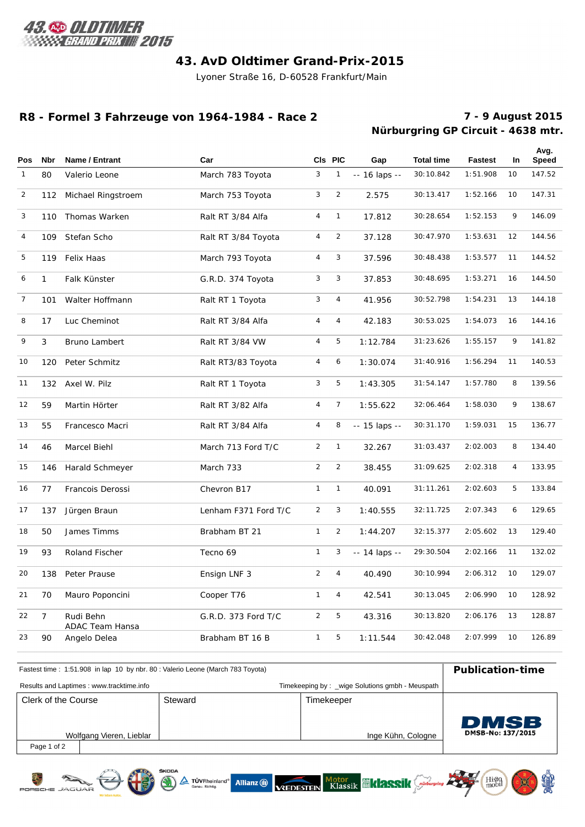

# **43. AvD Oldtimer Grand-Prix-2015**

Lyoner Straße 16, D-60528 Frankfurt/Main

### **R8 - Formel 3 Fahrzeuge von 1964-1984 - Race 2**

# **Nürburgring GP Circuit - 4638 mtr. 7 - 9 August 2015**

Histo

I

| <b>Pos</b>     | <b>Nbr</b>     | Name / Entrant                      | Car                  |                | CIs PIC        | Gap           | <b>Total time</b> | <b>Fastest</b> | In. | Avg.<br><b>Speed</b> |
|----------------|----------------|-------------------------------------|----------------------|----------------|----------------|---------------|-------------------|----------------|-----|----------------------|
| $\mathbf{1}$   | 80             | Valerio Leone                       | March 783 Toyota     | 3              | $\mathbf{1}$   | -- 16 laps -- | 30:10.842         | 1:51.908       | 10  | 147.52               |
| $\overline{2}$ | 112            | Michael Ringstroem                  | March 753 Toyota     | 3              | $\overline{2}$ | 2.575         | 30:13.417         | 1:52.166       | 10  | 147.31               |
| 3              | 110            | Thomas Warken                       | Ralt RT 3/84 Alfa    | $\overline{4}$ | $\mathbf{1}$   | 17.812        | 30:28.654         | 1:52.153       | 9   | 146.09               |
| 4              | 109            | Stefan Scho                         | Ralt RT 3/84 Toyota  | $\overline{4}$ | $\overline{2}$ | 37.128        | 30:47.970         | 1:53.631       | 12  | 144.56               |
| 5              | 119            | Felix Haas                          | March 793 Toyota     | 4              | 3              | 37.596        | 30:48.438         | 1:53.577       | 11  | 144.52               |
| 6              | $\mathbf{1}$   | Falk Künster                        | G.R.D. 374 Toyota    | 3              | 3              | 37.853        | 30:48.695         | 1:53.271       | 16  | 144.50               |
| $\overline{7}$ | 101            | Walter Hoffmann                     | Ralt RT 1 Toyota     | 3              | $\overline{4}$ | 41.956        | 30:52.798         | 1:54.231       | 13  | 144.18               |
| 8              | 17             | Luc Cheminot                        | Ralt RT 3/84 Alfa    | $\overline{4}$ | $\overline{4}$ | 42.183        | 30:53.025         | 1:54.073       | 16  | 144.16               |
| 9              | 3              | Bruno Lambert                       | Ralt RT 3/84 VW      | $\overline{4}$ | 5              | 1:12.784      | 31:23.626         | 1:55.157       | 9   | 141.82               |
| 10             | 120            | Peter Schmitz                       | Ralt RT3/83 Toyota   | 4              | 6              | 1:30.074      | 31:40.916         | 1:56.294       | 11  | 140.53               |
| 11             | 132            | Axel W. Pilz                        | Ralt RT 1 Toyota     | 3              | 5              | 1:43.305      | 31:54.147         | 1:57.780       | 8   | 139.56               |
| 12             | 59             | Martin Hörter                       | Ralt RT 3/82 Alfa    | $\overline{4}$ | $\overline{7}$ | 1:55.622      | 32:06.464         | 1:58.030       | 9   | 138.67               |
| 13             | 55             | Francesco Macri                     | Ralt RT 3/84 Alfa    | 4              | 8              | -- 15 laps -- | 30:31.170         | 1:59.031       | 15  | 136.77               |
| 14             | 46             | Marcel Biehl                        | March 713 Ford T/C   | $\overline{2}$ | $\mathbf{1}$   | 32.267        | 31:03.437         | 2:02.003       | 8   | 134.40               |
| 15             | 146            | Harald Schmeyer                     | March 733            | $\overline{2}$ | $\overline{2}$ | 38.455        | 31:09.625         | 2:02.318       | 4   | 133.95               |
| 16             | 77             | Francois Derossi                    | Chevron B17          | $\mathbf{1}$   | $\mathbf{1}$   | 40.091        | 31:11.261         | 2:02.603       | 5   | 133.84               |
| 17             | 137            | Jürgen Braun                        | Lenham F371 Ford T/C | $\overline{2}$ | 3              | 1:40.555      | 32:11.725         | 2:07.343       | 6   | 129.65               |
| 18             | 50             | James Timms                         | Brabham BT 21        | $\mathbf{1}$   | $\overline{2}$ | 1:44.207      | 32:15.377         | 2:05.602       | 13  | 129.40               |
| 19             | 93             | Roland Fischer                      | Tecno 69             | $\mathbf{1}$   | 3              | -- 14 laps -- | 29:30.504         | 2:02.166       | 11  | 132.02               |
| 20             | 138            | Peter Prause                        | Ensign LNF 3         | $\overline{2}$ | $\overline{4}$ | 40.490        | 30:10.994         | 2:06.312       | 10  | 129.07               |
| 21             | 70             | Mauro Poponcini                     | Cooper T76           | $\mathbf{1}$   | $\overline{4}$ | 42.541        | 30:13.045         | 2:06.990       | 10  | 128.92               |
| 22             | $\overline{7}$ | Rudi Behn<br><b>ADAC Team Hansa</b> | G.R.D. 373 Ford T/C  | $\overline{2}$ | 5              | 43.316        | 30:13.820         | 2:06.176       | 13  | 128.87               |
| 23             | 90             | Angelo Delea                        | Brabham BT 16 B      | $\mathbf{1}$   | 5              | 1:11.544      | 30:42.048         | 2:07.999       | 10  | 126.89               |

| Fastest time: 1:51.908 in lap 10 by nbr. 80: Valerio Leone (March 783 Toyota) | <b>Publication-time</b>                  |  |                                                |                    |                   |
|-------------------------------------------------------------------------------|------------------------------------------|--|------------------------------------------------|--------------------|-------------------|
|                                                                               | Results and Laptimes: www.tracktime.info |  | Timekeeping by: wige Solutions gmbh - Meuspath |                    |                   |
| Steward<br>Clerk of the Course                                                |                                          |  | Timekeeper                                     |                    |                   |
|                                                                               |                                          |  |                                                |                    | <b>DMSB</b>       |
|                                                                               | Wolfgang Vieren, Lieblar                 |  |                                                | Inge Kühn, Cologne | DMSB-No: 137/2015 |
| Page 1 of 2                                                                   |                                          |  |                                                |                    |                   |

A TÜVRheinland\* Allianz (1) VEDESTEIN Klassik (1) RSSIK Guingung A